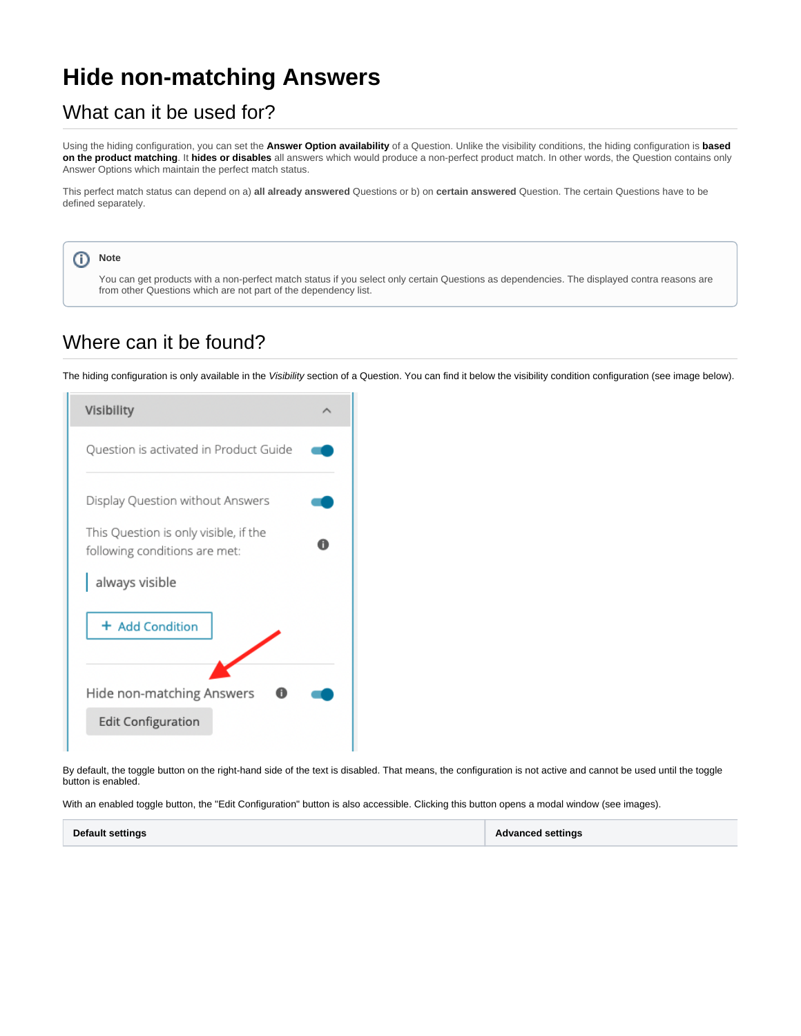## **Hide non-matching Answers**

## What can it be used for?

Using the hiding configuration, you can set the **Answer Option availability** of a Question. Unlike the visibility conditions, the hiding configuration is **based on the product matching**. It **hides or disables** all answers which would produce a non-perfect product match. In other words, the Question contains only Answer Options which maintain the perfect match status.

This perfect match status can depend on a) **all already answered** Questions or b) on **certain answered** Question. The certain Questions have to be defined separately.

## ത **Note**

You can get products with a non-perfect match status if you select only certain Questions as dependencies. The displayed contra reasons are from other Questions which are not part of the dependency list.

## Where can it be found?

The hiding configuration is only available in the Visibility section of a Question. You can find it below the visibility condition configuration (see image below).



By default, the toggle button on the right-hand side of the text is disabled. That means, the configuration is not active and cannot be used until the toggle button is enabled.

With an enabled toggle button, the "Edit Configuration" button is also accessible. Clicking this button opens a modal window (see images).

| <b>Default settings</b> | <b>Advanced settings</b> |
|-------------------------|--------------------------|
|-------------------------|--------------------------|